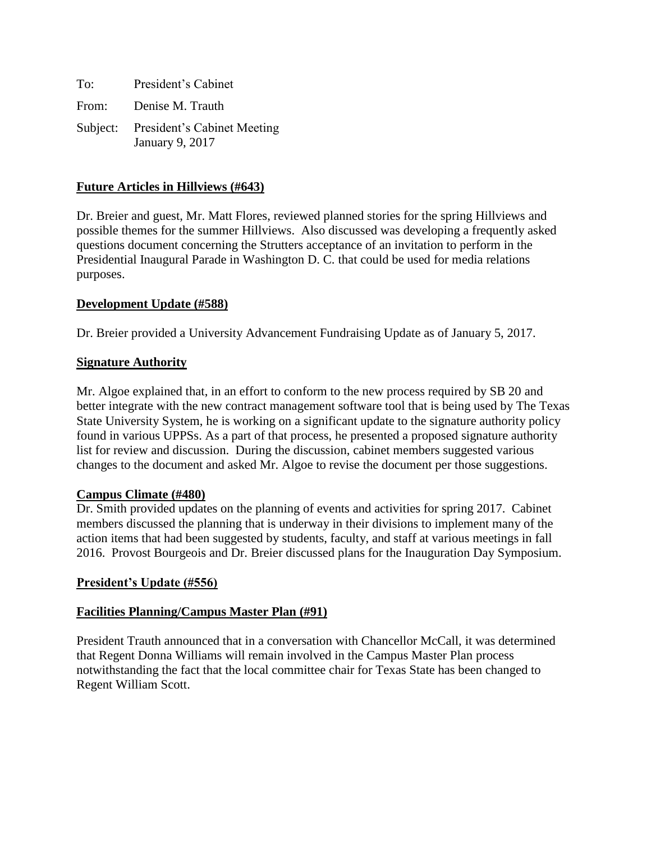| To:   | President's Cabinet                                     |
|-------|---------------------------------------------------------|
| From: | Denise M. Trauth                                        |
|       | Subject: President's Cabinet Meeting<br>January 9, 2017 |

## **Future Articles in Hillviews (#643)**

Dr. Breier and guest, Mr. Matt Flores, reviewed planned stories for the spring Hillviews and possible themes for the summer Hillviews. Also discussed was developing a frequently asked questions document concerning the Strutters acceptance of an invitation to perform in the Presidential Inaugural Parade in Washington D. C. that could be used for media relations purposes.

### **Development Update (#588)**

Dr. Breier provided a University Advancement Fundraising Update as of January 5, 2017.

## **Signature Authority**

Mr. Algoe explained that, in an effort to conform to the new process required by SB 20 and better integrate with the new contract management software tool that is being used by The Texas State University System, he is working on a significant update to the signature authority policy found in various UPPSs. As a part of that process, he presented a proposed signature authority list for review and discussion. During the discussion, cabinet members suggested various changes to the document and asked Mr. Algoe to revise the document per those suggestions.

### **Campus Climate (#480)**

Dr. Smith provided updates on the planning of events and activities for spring 2017. Cabinet members discussed the planning that is underway in their divisions to implement many of the action items that had been suggested by students, faculty, and staff at various meetings in fall 2016. Provost Bourgeois and Dr. Breier discussed plans for the Inauguration Day Symposium.

# **President's Update (#556)**

### **Facilities Planning/Campus Master Plan (#91)**

President Trauth announced that in a conversation with Chancellor McCall, it was determined that Regent Donna Williams will remain involved in the Campus Master Plan process notwithstanding the fact that the local committee chair for Texas State has been changed to Regent William Scott.